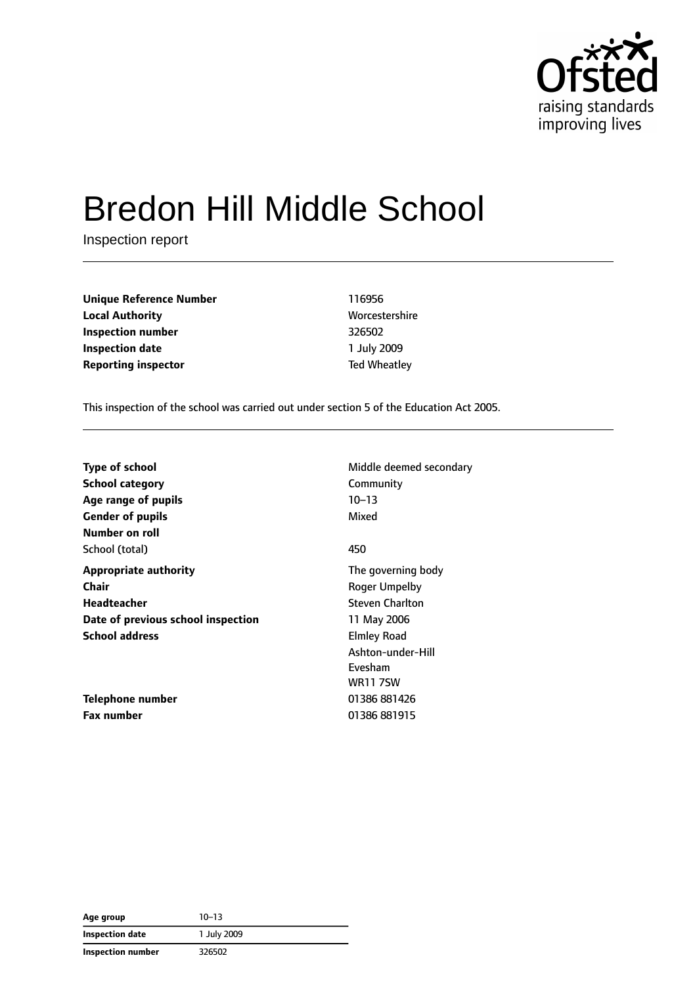

# Bredon Hill Middle School

Inspection report

**Unique Reference Number** 116956 **Local Authority** Morcestershire **Inspection number** 326502 **Inspection date** 1 July 2009 **Reporting inspector** Ted Wheatley

This inspection of the school was carried out under section 5 of the Education Act 2005.

| <b>Type of school</b>              | Middle deemed secondary |
|------------------------------------|-------------------------|
| <b>School category</b>             | Community               |
| Age range of pupils                | 10-13                   |
| <b>Gender of pupils</b>            | Mixed                   |
| Number on roll                     |                         |
| School (total)                     | 450                     |
| <b>Appropriate authority</b>       | The governing body      |
| Chair                              | Roger Umpelby           |
| Headteacher                        | <b>Steven Charlton</b>  |
| Date of previous school inspection | 11 May 2006             |
| <b>School address</b>              | <b>Elmley Road</b>      |
|                                    | Ashton-under-Hill       |
|                                    | Evesham                 |
|                                    | <b>WR11 7SW</b>         |
| Telephone number                   | 01386 881426            |
| <b>Fax number</b>                  | 01386 881915            |

| Age group         | $10 - 13$   |
|-------------------|-------------|
| Inspection date   | 1 July 2009 |
| Inspection number | 326502      |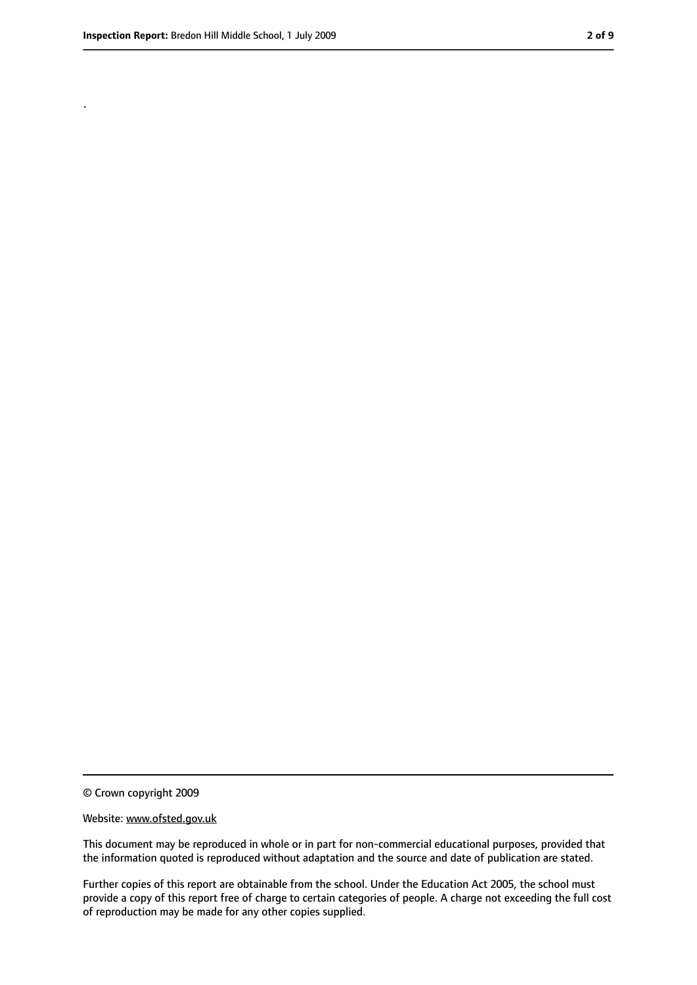.

<sup>©</sup> Crown copyright 2009

Website: www.ofsted.gov.uk

This document may be reproduced in whole or in part for non-commercial educational purposes, provided that the information quoted is reproduced without adaptation and the source and date of publication are stated.

Further copies of this report are obtainable from the school. Under the Education Act 2005, the school must provide a copy of this report free of charge to certain categories of people. A charge not exceeding the full cost of reproduction may be made for any other copies supplied.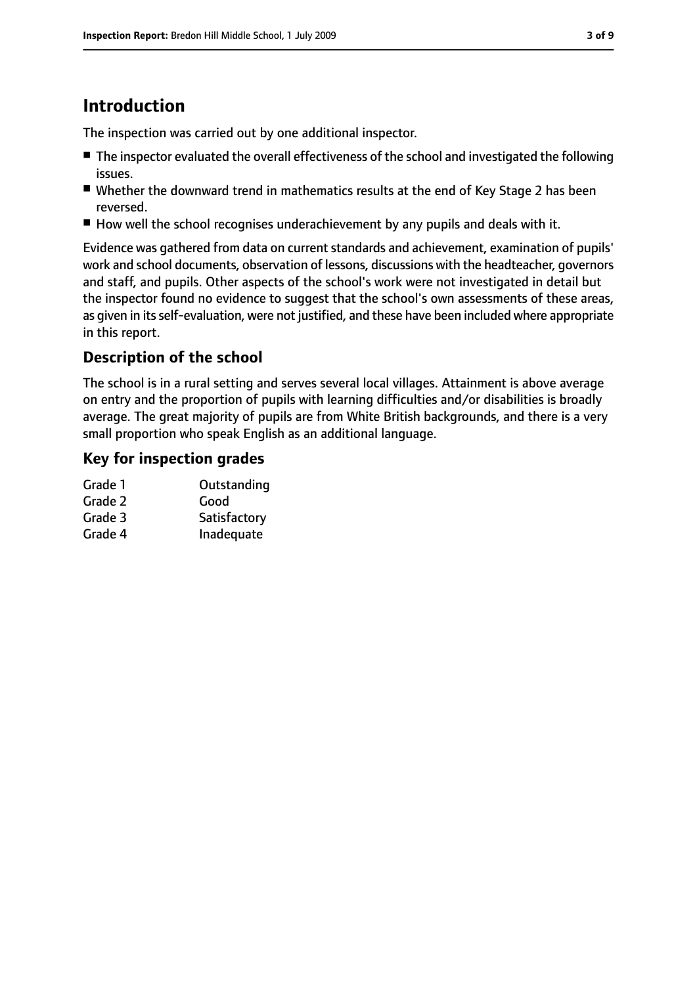# **Introduction**

The inspection was carried out by one additional inspector.

- The inspector evaluated the overall effectiveness of the school and investigated the following issues.
- Whether the downward trend in mathematics results at the end of Key Stage 2 has been reversed.
- How well the school recognises underachievement by any pupils and deals with it.

Evidence was gathered from data on current standards and achievement, examination of pupils' work and school documents, observation of lessons, discussions with the headteacher, governors and staff, and pupils. Other aspects of the school's work were not investigated in detail but the inspector found no evidence to suggest that the school's own assessments of these areas, as given in its self-evaluation, were not justified, and these have been included where appropriate in this report.

# **Description of the school**

The school is in a rural setting and serves several local villages. Attainment is above average on entry and the proportion of pupils with learning difficulties and/or disabilities is broadly average. The great majority of pupils are from White British backgrounds, and there is a very small proportion who speak English as an additional language.

### **Key for inspection grades**

| Grade 1 | Outstanding  |
|---------|--------------|
| Grade 2 | Good         |
| Grade 3 | Satisfactory |
| Grade 4 | Inadequate   |
|         |              |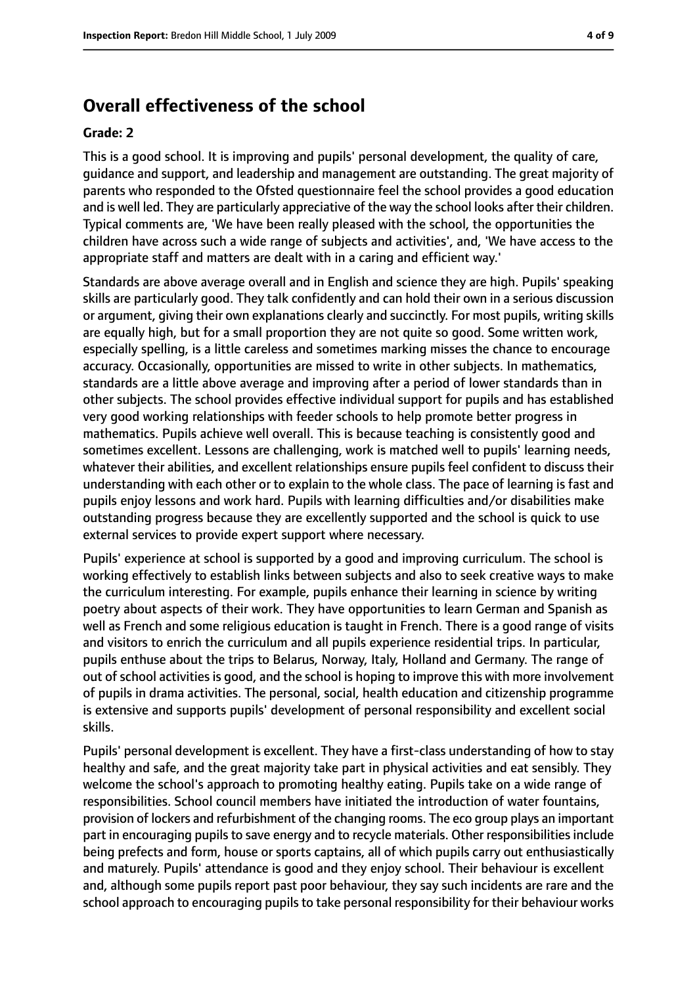# **Overall effectiveness of the school**

#### **Grade: 2**

This is a good school. It is improving and pupils' personal development, the quality of care, guidance and support, and leadership and management are outstanding. The great majority of parents who responded to the Ofsted questionnaire feel the school provides a good education and is well led. They are particularly appreciative of the way the school looks after their children. Typical comments are, 'We have been really pleased with the school, the opportunities the children have across such a wide range of subjects and activities', and, 'We have access to the appropriate staff and matters are dealt with in a caring and efficient way.'

Standards are above average overall and in English and science they are high. Pupils' speaking skills are particularly good. They talk confidently and can hold their own in a serious discussion or argument, giving their own explanations clearly and succinctly. For most pupils, writing skills are equally high, but for a small proportion they are not quite so good. Some written work, especially spelling, is a little careless and sometimes marking misses the chance to encourage accuracy. Occasionally, opportunities are missed to write in other subjects. In mathematics, standards are a little above average and improving after a period of lower standards than in other subjects. The school provides effective individual support for pupils and has established very good working relationships with feeder schools to help promote better progress in mathematics. Pupils achieve well overall. This is because teaching is consistently good and sometimes excellent. Lessons are challenging, work is matched well to pupils' learning needs, whatever their abilities, and excellent relationships ensure pupils feel confident to discuss their understanding with each other or to explain to the whole class. The pace of learning is fast and pupils enjoy lessons and work hard. Pupils with learning difficulties and/or disabilities make outstanding progress because they are excellently supported and the school is quick to use external services to provide expert support where necessary.

Pupils' experience at school is supported by a good and improving curriculum. The school is working effectively to establish links between subjects and also to seek creative ways to make the curriculum interesting. For example, pupils enhance their learning in science by writing poetry about aspects of their work. They have opportunities to learn German and Spanish as well as French and some religious education is taught in French. There is a good range of visits and visitors to enrich the curriculum and all pupils experience residential trips. In particular, pupils enthuse about the trips to Belarus, Norway, Italy, Holland and Germany. The range of out of school activities is good, and the school is hoping to improve this with more involvement of pupils in drama activities. The personal, social, health education and citizenship programme is extensive and supports pupils' development of personal responsibility and excellent social skills.

Pupils' personal development is excellent. They have a first-class understanding of how to stay healthy and safe, and the great majority take part in physical activities and eat sensibly. They welcome the school's approach to promoting healthy eating. Pupils take on a wide range of responsibilities. School council members have initiated the introduction of water fountains, provision of lockers and refurbishment of the changing rooms. The eco group plays an important part in encouraging pupils to save energy and to recycle materials. Other responsibilities include being prefects and form, house or sports captains, all of which pupils carry out enthusiastically and maturely. Pupils' attendance is good and they enjoy school. Their behaviour is excellent and, although some pupils report past poor behaviour, they say such incidents are rare and the school approach to encouraging pupils to take personal responsibility for their behaviour works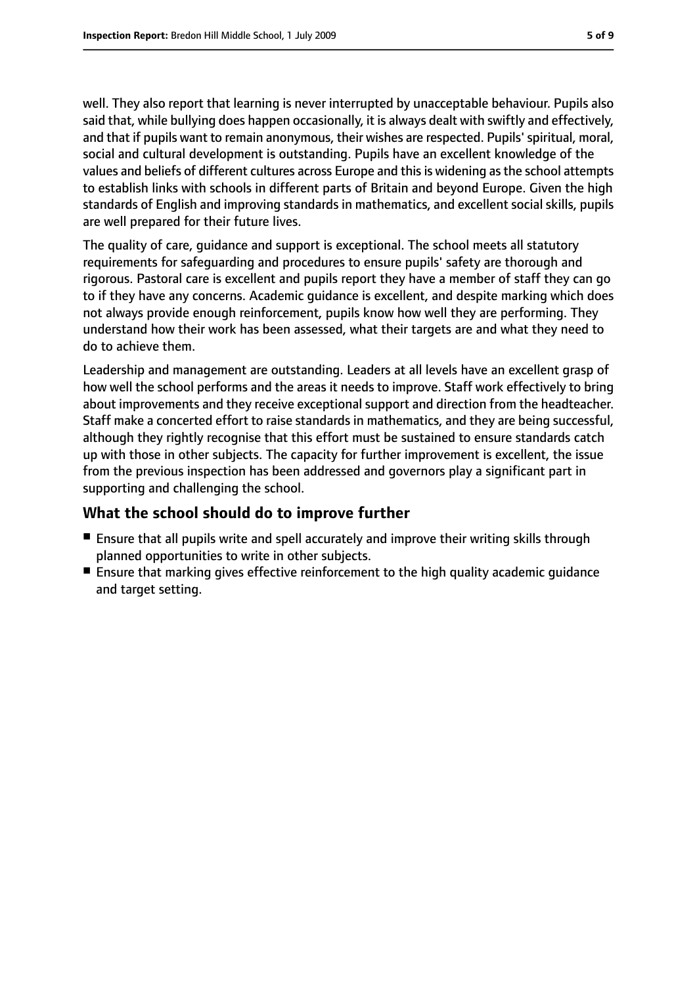well. They also report that learning is never interrupted by unacceptable behaviour. Pupils also said that, while bullying does happen occasionally, it is always dealt with swiftly and effectively, and that if pupils want to remain anonymous, their wishes are respected. Pupils' spiritual, moral, social and cultural development is outstanding. Pupils have an excellent knowledge of the values and beliefs of different cultures across Europe and thisis widening asthe school attempts to establish links with schools in different parts of Britain and beyond Europe. Given the high standards of English and improving standards in mathematics, and excellent social skills, pupils are well prepared for their future lives.

The quality of care, guidance and support is exceptional. The school meets all statutory requirements for safeguarding and procedures to ensure pupils' safety are thorough and rigorous. Pastoral care is excellent and pupils report they have a member of staff they can go to if they have any concerns. Academic guidance is excellent, and despite marking which does not always provide enough reinforcement, pupils know how well they are performing. They understand how their work has been assessed, what their targets are and what they need to do to achieve them.

Leadership and management are outstanding. Leaders at all levels have an excellent grasp of how well the school performs and the areas it needs to improve. Staff work effectively to bring about improvements and they receive exceptional support and direction from the headteacher. Staff make a concerted effort to raise standards in mathematics, and they are being successful, although they rightly recognise that this effort must be sustained to ensure standards catch up with those in other subjects. The capacity for further improvement is excellent, the issue from the previous inspection has been addressed and governors play a significant part in supporting and challenging the school.

### **What the school should do to improve further**

- Ensure that all pupils write and spell accurately and improve their writing skills through planned opportunities to write in other subjects.
- Ensure that marking gives effective reinforcement to the high quality academic quidance and target setting.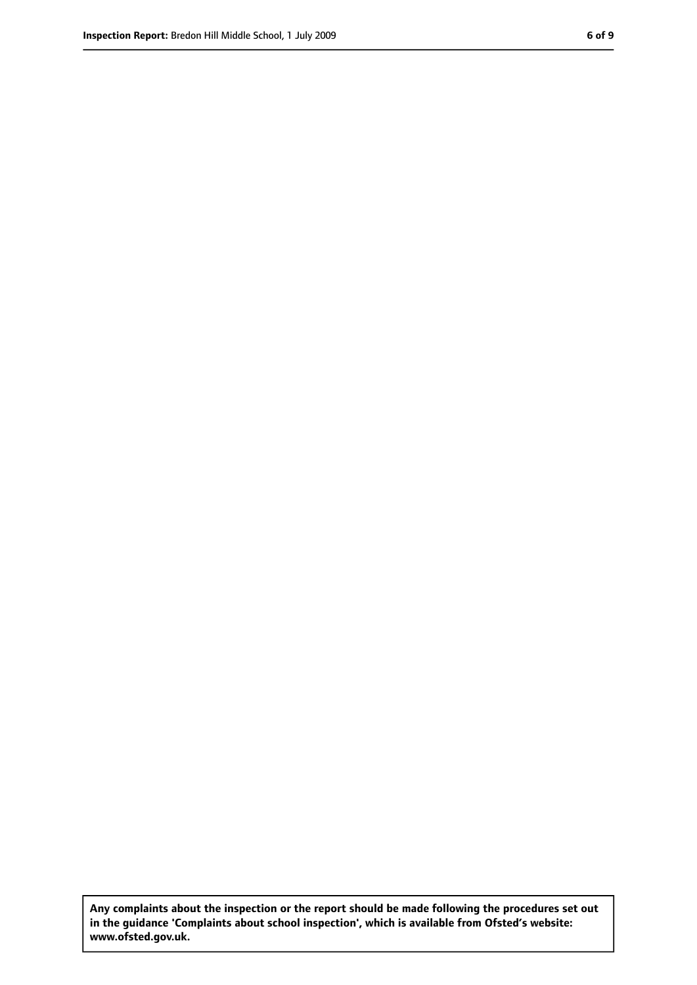**Any complaints about the inspection or the report should be made following the procedures set out in the guidance 'Complaints about school inspection', which is available from Ofsted's website: www.ofsted.gov.uk.**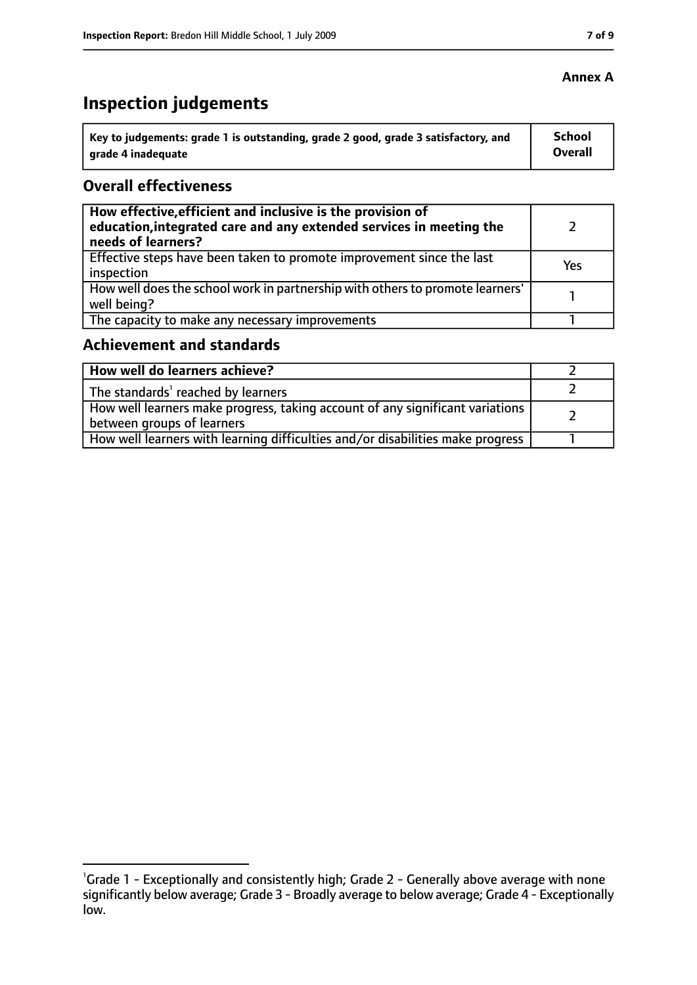#### **Annex A**

# **Inspection judgements**

| $^{\rm !}$ Key to judgements: grade 1 is outstanding, grade 2 good, grade 3 satisfactory, and | <b>School</b>  |
|-----------------------------------------------------------------------------------------------|----------------|
| arade 4 inadequate                                                                            | <b>Overall</b> |

### **Overall effectiveness**

| How effective, efficient and inclusive is the provision of<br>education, integrated care and any extended services in meeting the<br>needs of learners? |     |
|---------------------------------------------------------------------------------------------------------------------------------------------------------|-----|
| Effective steps have been taken to promote improvement since the last<br>inspection                                                                     | Yes |
| How well does the school work in partnership with others to promote learners'<br>well being?                                                            |     |
| The capacity to make any necessary improvements                                                                                                         |     |

# **Achievement and standards**

| How well do learners achieve?                                                  |  |
|--------------------------------------------------------------------------------|--|
| $\vert$ The standards <sup>1</sup> reached by learners                         |  |
| How well learners make progress, taking account of any significant variations  |  |
| between groups of learners                                                     |  |
| How well learners with learning difficulties and/or disabilities make progress |  |

<sup>&</sup>lt;sup>1</sup>Grade 1 - Exceptionally and consistently high; Grade 2 - Generally above average with none significantly below average; Grade 3 - Broadly average to below average; Grade 4 - Exceptionally low.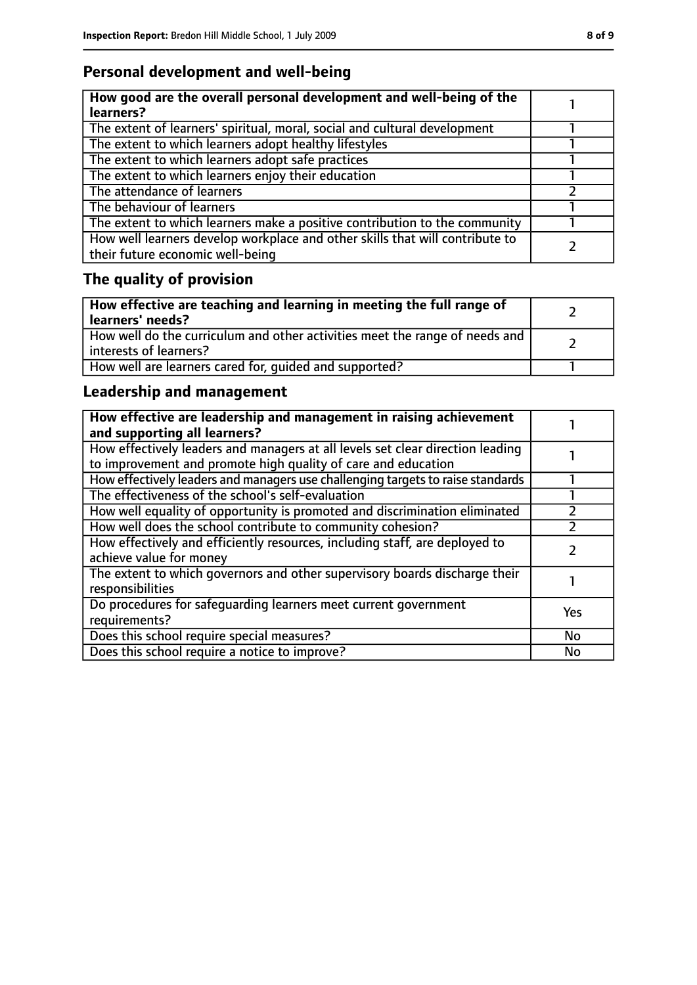# **Personal development and well-being**

| How good are the overall personal development and well-being of the<br>learners?                                 |  |
|------------------------------------------------------------------------------------------------------------------|--|
| The extent of learners' spiritual, moral, social and cultural development                                        |  |
| The extent to which learners adopt healthy lifestyles                                                            |  |
| The extent to which learners adopt safe practices                                                                |  |
| The extent to which learners enjoy their education                                                               |  |
| The attendance of learners                                                                                       |  |
| The behaviour of learners                                                                                        |  |
| The extent to which learners make a positive contribution to the community                                       |  |
| How well learners develop workplace and other skills that will contribute to<br>their future economic well-being |  |

# **The quality of provision**

| How effective are teaching and learning in meeting the full range of<br>learners' needs?              |  |
|-------------------------------------------------------------------------------------------------------|--|
| How well do the curriculum and other activities meet the range of needs and<br>interests of learners? |  |
| How well are learners cared for, quided and supported?                                                |  |

# **Leadership and management**

| How effective are leadership and management in raising achievement<br>and supporting all learners?                                              |     |
|-------------------------------------------------------------------------------------------------------------------------------------------------|-----|
| How effectively leaders and managers at all levels set clear direction leading<br>to improvement and promote high quality of care and education |     |
| How effectively leaders and managers use challenging targets to raise standards                                                                 |     |
| The effectiveness of the school's self-evaluation                                                                                               |     |
| How well equality of opportunity is promoted and discrimination eliminated                                                                      |     |
| How well does the school contribute to community cohesion?                                                                                      |     |
| How effectively and efficiently resources, including staff, are deployed to<br>achieve value for money                                          |     |
| The extent to which governors and other supervisory boards discharge their<br>responsibilities                                                  |     |
| Do procedures for safequarding learners meet current government<br>requirements?                                                                | Yes |
| Does this school require special measures?                                                                                                      | No  |
| Does this school require a notice to improve?                                                                                                   | No  |